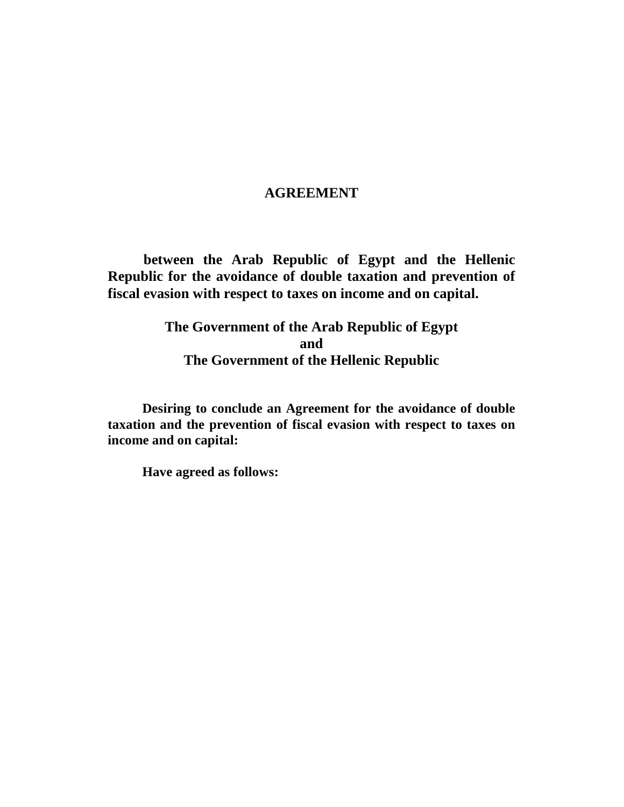## **AGREEMENT**

 **between the Arab Republic of Egypt and the Hellenic Republic for the avoidance of double taxation and prevention of fiscal evasion with respect to taxes on income and on capital.** 

> **The Government of the Arab Republic of Egypt and The Government of the Hellenic Republic**

 **Desiring to conclude an Agreement for the avoidance of double taxation and the prevention of fiscal evasion with respect to taxes on income and on capital:** 

 **Have agreed as follows:**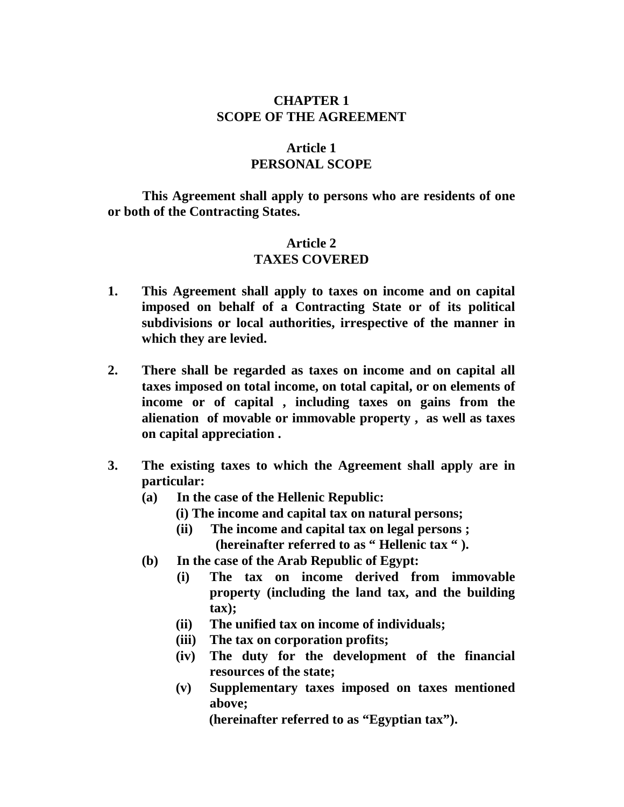#### **CHAPTER 1 SCOPE OF THE AGREEMENT**

## **Article 1 PERSONAL SCOPE**

 **This Agreement shall apply to persons who are residents of one or both of the Contracting States.** 

# **Article 2**

# **TAXES COVERED**

- **1. This Agreement shall apply to taxes on income and on capital imposed on behalf of a Contracting State or of its political subdivisions or local authorities, irrespective of the manner in which they are levied.**
- **2. There shall be regarded as taxes on income and on capital all taxes imposed on total income, on total capital, or on elements of income or of capital , including taxes on gains from the alienation of movable or immovable property , as well as taxes on capital appreciation .**
- **3. The existing taxes to which the Agreement shall apply are in particular:** 
	- **(a) In the case of the Hellenic Republic:** 
		- **(i) The income and capital tax on natural persons;**
		- **(ii) The income and capital tax on legal persons ; (hereinafter referred to as " Hellenic tax " ).**
	- **(b) In the case of the Arab Republic of Egypt:** 
		- **(i) The tax on income derived from immovable property (including the land tax, and the building tax);**
		- **(ii) The unified tax on income of individuals;**
		- **(iii) The tax on corporation profits;**
		- **(iv) The duty for the development of the financial resources of the state;**
		- **(v) Supplementary taxes imposed on taxes mentioned above;**

 **(hereinafter referred to as "Egyptian tax").**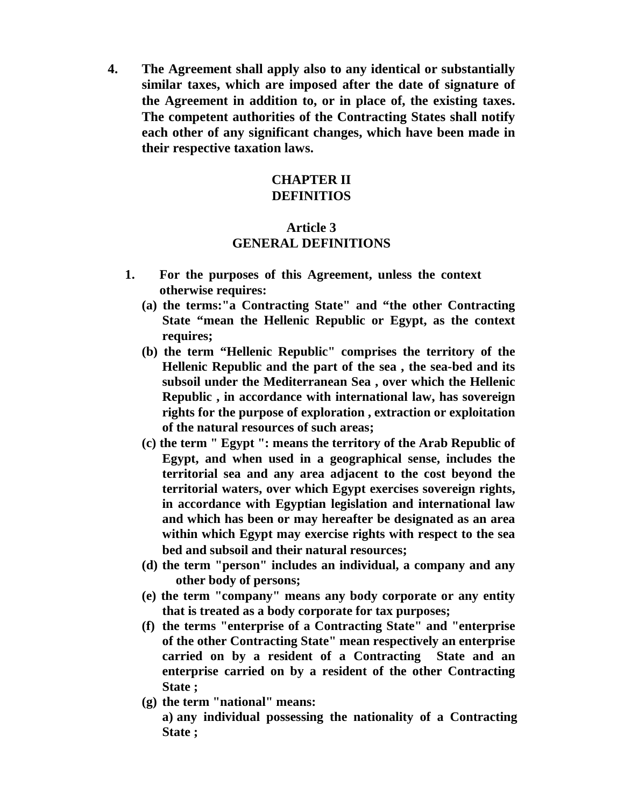**4. The Agreement shall apply also to any identical or substantially similar taxes, which are imposed after the date of signature of the Agreement in addition to, or in place of, the existing taxes. The competent authorities of the Contracting States shall notify each other of any significant changes, which have been made in their respective taxation laws.** 

# **CHAPTER II DEFINITIOS**

# **Article 3 GENERAL DEFINITIONS**

- **1. For the purposes of this Agreement, unless the context otherwise requires:** 
	- **(a) the terms:"a Contracting State" and "the other Contracting State "mean the Hellenic Republic or Egypt, as the context requires;**
	- **(b) the term "Hellenic Republic" comprises the territory of the Hellenic Republic and the part of the sea , the sea-bed and its subsoil under the Mediterranean Sea , over which the Hellenic Republic , in accordance with international law, has sovereign rights for the purpose of exploration , extraction or exploitation of the natural resources of such areas;**
	- **(c) the term " Egypt ": means the territory of the Arab Republic of Egypt, and when used in a geographical sense, includes the territorial sea and any area adjacent to the cost beyond the territorial waters, over which Egypt exercises sovereign rights, in accordance with Egyptian legislation and international law and which has been or may hereafter be designated as an area within which Egypt may exercise rights with respect to the sea bed and subsoil and their natural resources;**
	- **(d) the term "person" includes an individual, a company and any other body of persons;**
	- **(e) the term "company" means any body corporate or any entity that is treated as a body corporate for tax purposes;**
	- **(f) the terms "enterprise of a Contracting State" and "enterprise of the other Contracting State" mean respectively an enterprise carried on by a resident of a Contracting State and an enterprise carried on by a resident of the other Contracting State ;**
	- **(g) the term "national" means:**

**a) any individual possessing the nationality of a Contracting State ;**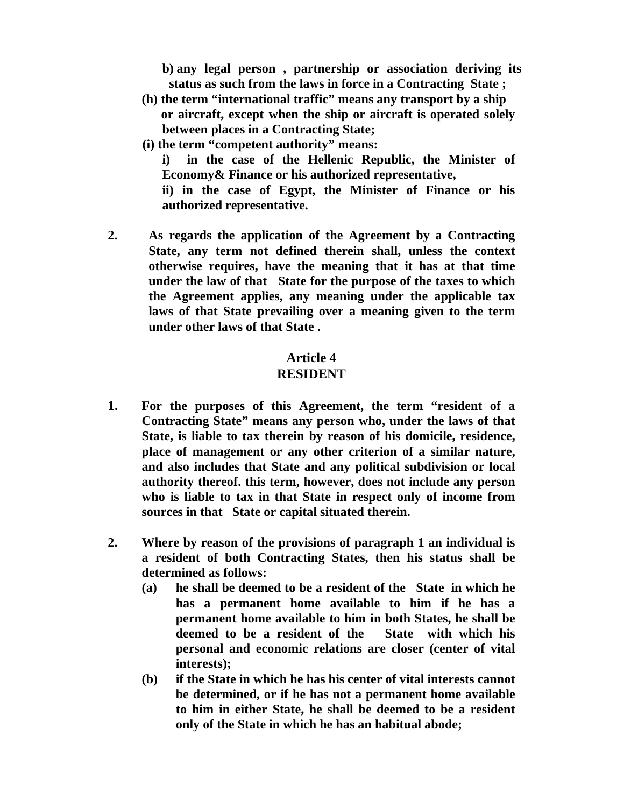**b) any legal person , partnership or association deriving its status as such from the laws in force in a Contracting State ;** 

- **(h) the term "international traffic" means any transport by a ship or aircraft, except when the ship or aircraft is operated solely between places in a Contracting State;**
- **(i) the term "competent authority" means:**

**i) in the case of the Hellenic Republic, the Minister of Economy& Finance or his authorized representative,** 

**ii) in the case of Egypt, the Minister of Finance or his authorized representative.** 

**2. As regards the application of the Agreement by a Contracting State, any term not defined therein shall, unless the context otherwise requires, have the meaning that it has at that time under the law of that State for the purpose of the taxes to which the Agreement applies, any meaning under the applicable tax laws of that State prevailing over a meaning given to the term under other laws of that State .** 

#### **Article 4**

#### **RESIDENT**

- **1. For the purposes of this Agreement, the term "resident of a Contracting State" means any person who, under the laws of that State, is liable to tax therein by reason of his domicile, residence, place of management or any other criterion of a similar nature, and also includes that State and any political subdivision or local authority thereof. this term, however, does not include any person who is liable to tax in that State in respect only of income from sources in that State or capital situated therein.**
- **2. Where by reason of the provisions of paragraph 1 an individual is a resident of both Contracting States, then his status shall be determined as follows:** 
	- **(a) he shall be deemed to be a resident of the State in which he has a permanent home available to him if he has a permanent home available to him in both States, he shall be deemed to be a resident of the State with which his personal and economic relations are closer (center of vital interests);**
	- **(b) if the State in which he has his center of vital interests cannot be determined, or if he has not a permanent home available to him in either State, he shall be deemed to be a resident only of the State in which he has an habitual abode;**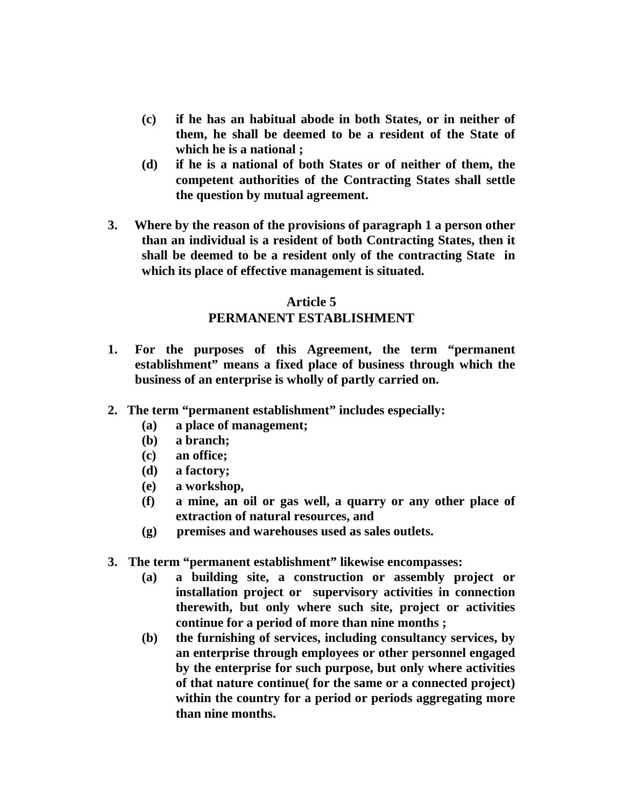- **(c) if he has an habitual abode in both States, or in neither of them, he shall be deemed to be a resident of the State of which he is a national ;**
- **(d) if he is a national of both States or of neither of them, the competent authorities of the Contracting States shall settle the question by mutual agreement.**
- **3. Where by the reason of the provisions of paragraph 1 a person other than an individual is a resident of both Contracting States, then it shall be deemed to be a resident only of the contracting State in which its place of effective management is situated.**

#### **Article 5 PERMANENT ESTABLISHMENT**

- **1. For the purposes of this Agreement, the term "permanent establishment" means a fixed place of business through which the business of an enterprise is wholly of partly carried on.**
- **2. The term "permanent establishment" includes especially:** 
	- **(a) a place of management;**
	- **(b) a branch;**
	- **(c) an office;**
	- **(d) a factory;**
	- **(e) a workshop,**
	- **(f) a mine, an oil or gas well, a quarry or any other place of extraction of natural resources, and**
	- **(g) premises and warehouses used as sales outlets.**
- **3. The term "permanent establishment" likewise encompasses:** 
	- **(a) a building site, a construction or assembly project or installation project or supervisory activities in connection therewith, but only where such site, project or activities continue for a period of more than nine months ;**
	- **(b) the furnishing of services, including consultancy services, by an enterprise through employees or other personnel engaged by the enterprise for such purpose, but only where activities of that nature continue( for the same or a connected project) within the country for a period or periods aggregating more than nine months.**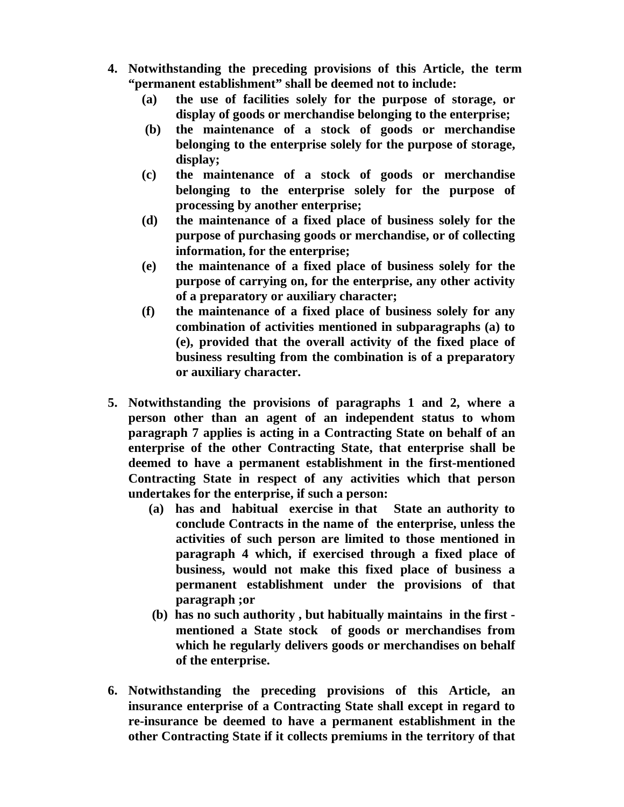- **4. Notwithstanding the preceding provisions of this Article, the term "permanent establishment" shall be deemed not to include:** 
	- **(a) the use of facilities solely for the purpose of storage, or display of goods or merchandise belonging to the enterprise;**

e de la construcción de la construcción de la construcción de la construcción de la construcción de la construcción<br>A la construcción de la construcción de la construcción de la construcción de la construcción de la constr

- **(b) the maintenance of a stock of goods or merchandise belonging to the enterprise solely for the purpose of storage, display;**
- **(c) the maintenance of a stock of goods or merchandise belonging to the enterprise solely for the purpose of processing by another enterprise;**
- **(d) the maintenance of a fixed place of business solely for the purpose of purchasing goods or merchandise, or of collecting information, for the enterprise;**
- **(e) the maintenance of a fixed place of business solely for the purpose of carrying on, for the enterprise, any other activity of a preparatory or auxiliary character;**
- **(f) the maintenance of a fixed place of business solely for any combination of activities mentioned in subparagraphs (a) to (e), provided that the overall activity of the fixed place of business resulting from the combination is of a preparatory or auxiliary character.**
- **5. Notwithstanding the provisions of paragraphs 1 and 2, where a person other than an agent of an independent status to whom paragraph 7 applies is acting in a Contracting State on behalf of an enterprise of the other Contracting State, that enterprise shall be deemed to have a permanent establishment in the first-mentioned Contracting State in respect of any activities which that person undertakes for the enterprise, if such a person:** 
	- **(a) has and habitual exercise in that State an authority to conclude Contracts in the name of the enterprise, unless the activities of such person are limited to those mentioned in paragraph 4 which, if exercised through a fixed place of business, would not make this fixed place of business a permanent establishment under the provisions of that paragraph ;or**
	- **(b) has no such authority , but habitually maintains in the first mentioned a State stock of goods or merchandises from which he regularly delivers goods or merchandises on behalf of the enterprise.**
- **6. Notwithstanding the preceding provisions of this Article, an insurance enterprise of a Contracting State shall except in regard to re-insurance be deemed to have a permanent establishment in the other Contracting State if it collects premiums in the territory of that**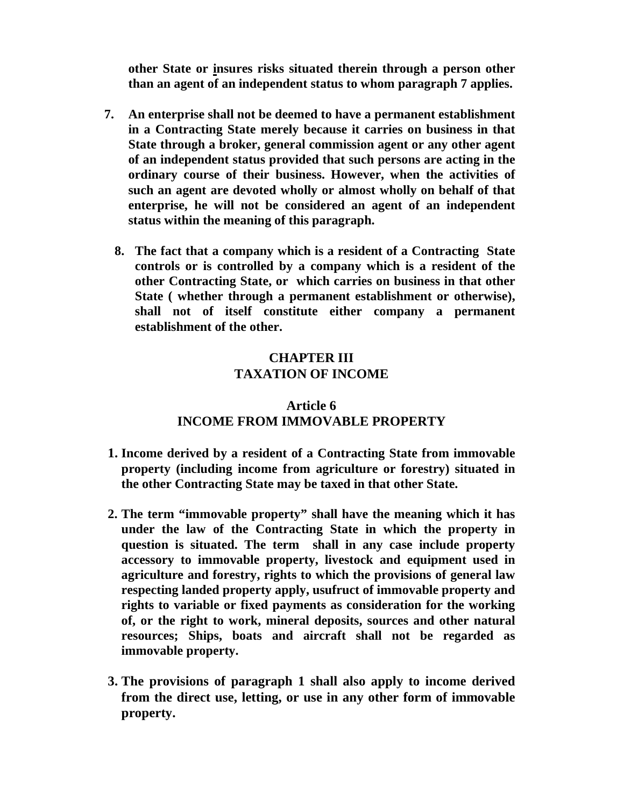**other State or insures risks situated therein through a person other than an agent of an independent status to whom paragraph 7 applies.** 

- **7. An enterprise shall not be deemed to have a permanent establishment in a Contracting State merely because it carries on business in that State through a broker, general commission agent or any other agent of an independent status provided that such persons are acting in the ordinary course of their business. However, when the activities of such an agent are devoted wholly or almost wholly on behalf of that enterprise, he will not be considered an agent of an independent status within the meaning of this paragraph.** 
	- **8. The fact that a company which is a resident of a Contracting State controls or is controlled by a company which is a resident of the other Contracting State, or which carries on business in that other State ( whether through a permanent establishment or otherwise), shall not of itself constitute either company a permanent establishment of the other.**

# **CHAPTER III TAXATION OF INCOME**

# **Article 6 INCOME FROM IMMOVABLE PROPERTY**

- **1. Income derived by a resident of a Contracting State from immovable property (including income from agriculture or forestry) situated in the other Contracting State may be taxed in that other State.**
- **2. The term "immovable property" shall have the meaning which it has under the law of the Contracting State in which the property in question is situated. The term shall in any case include property accessory to immovable property, livestock and equipment used in agriculture and forestry, rights to which the provisions of general law respecting landed property apply, usufruct of immovable property and rights to variable or fixed payments as consideration for the working of, or the right to work, mineral deposits, sources and other natural resources; Ships, boats and aircraft shall not be regarded as immovable property.**
- **3. The provisions of paragraph 1 shall also apply to income derived from the direct use, letting, or use in any other form of immovable property.**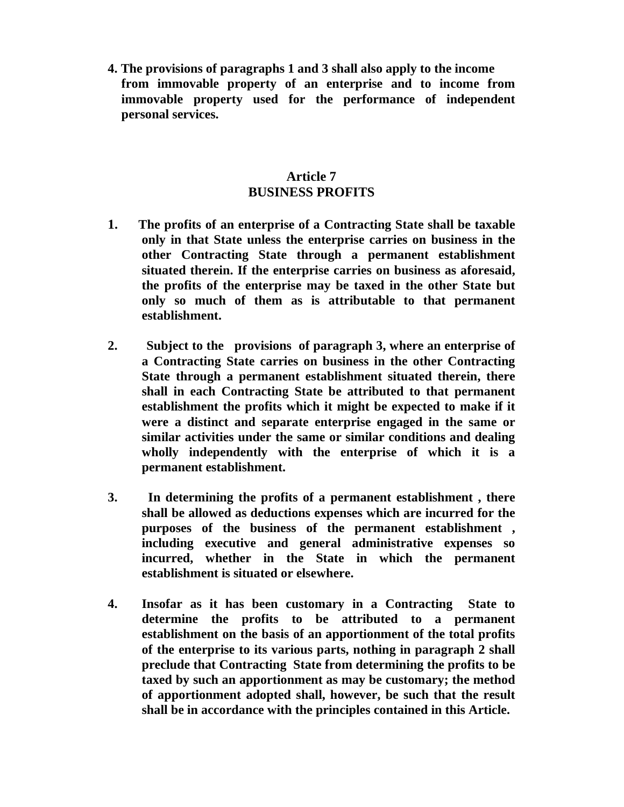**4. The provisions of paragraphs 1 and 3 shall also apply to the income from immovable property of an enterprise and to income from immovable property used for the performance of independent personal services.** 

## **Article 7 BUSINESS PROFITS**

- **1. The profits of an enterprise of a Contracting State shall be taxable only in that State unless the enterprise carries on business in the other Contracting State through a permanent establishment situated therein. If the enterprise carries on business as aforesaid, the profits of the enterprise may be taxed in the other State but only so much of them as is attributable to that permanent establishment.**
- **2. Subject to the provisions of paragraph 3, where an enterprise of a Contracting State carries on business in the other Contracting State through a permanent establishment situated therein, there shall in each Contracting State be attributed to that permanent establishment the profits which it might be expected to make if it were a distinct and separate enterprise engaged in the same or similar activities under the same or similar conditions and dealing wholly independently with the enterprise of which it is a permanent establishment.**
- **3. In determining the profits of a permanent establishment , there shall be allowed as deductions expenses which are incurred for the purposes of the business of the permanent establishment , including executive and general administrative expenses so incurred, whether in the State in which the permanent establishment is situated or elsewhere.**
- **4. Insofar as it has been customary in a Contracting State to determine the profits to be attributed to a permanent establishment on the basis of an apportionment of the total profits of the enterprise to its various parts, nothing in paragraph 2 shall preclude that Contracting State from determining the profits to be taxed by such an apportionment as may be customary; the method of apportionment adopted shall, however, be such that the result shall be in accordance with the principles contained in this Article.**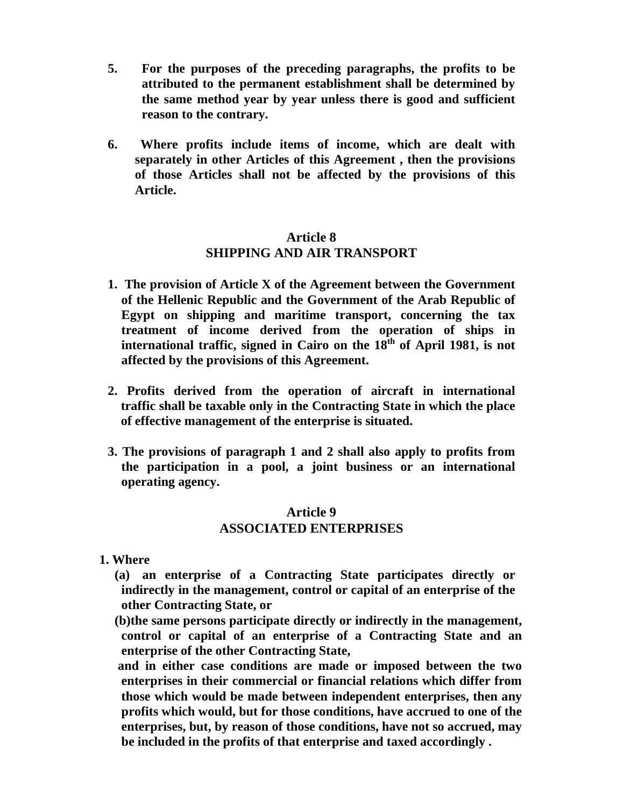- **5. For the purposes of the preceding paragraphs, the profits to be attributed to the permanent establishment shall be determined by the same method year by year unless there is good and sufficient reason to the contrary.**
- **6. Where profits include items of income, which are dealt with separately in other Articles of this Agreement , then the provisions of those Articles shall not be affected by the provisions of this Article.**

#### **Article 8 SHIPPING AND AIR TRANSPORT**

- **1. The provision of Article X of the Agreement between the Government of the Hellenic Republic and the Government of the Arab Republic of Egypt on shipping and maritime transport, concerning the tax treatment of income derived from the operation of ships in international traffic, signed in Cairo on the**  $18<sup>th</sup>$  **of April 1981, is not affected by the provisions of this Agreement.**
- **2. Profits derived from the operation of aircraft in international traffic shall be taxable only in the Contracting State in which the place of effective management of the enterprise is situated.**
- **3. The provisions of paragraph 1 and 2 shall also apply to profits from the participation in a pool, a joint business or an international operating agency.**

## **Article 9 ASSOCIATED ENTERPRISES**

- **1. Where** 
	- **(a) an enterprise of a Contracting State participates directly or indirectly in the management, control or capital of an enterprise of the other Contracting State, or**
	- **(b)the same persons participate directly or indirectly in the management, control or capital of an enterprise of a Contracting State and an enterprise of the other Contracting State,**

 **and in either case conditions are made or imposed between the two enterprises in their commercial or financial relations which differ from those which would be made between independent enterprises, then any profits which would, but for those conditions, have accrued to one of the enterprises, but, by reason of those conditions, have not so accrued, may be included in the profits of that enterprise and taxed accordingly .**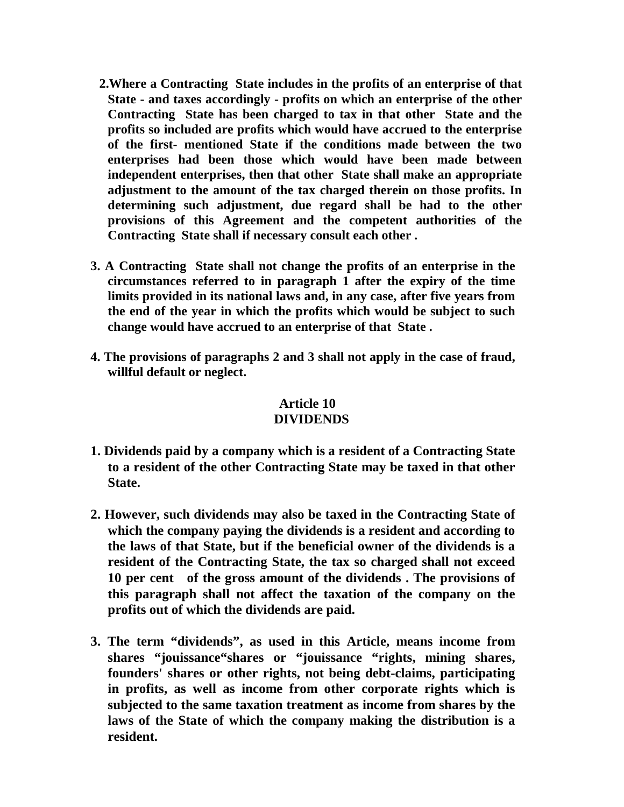- **2.Where a Contracting State includes in the profits of an enterprise of that State - and taxes accordingly - profits on which an enterprise of the other Contracting State has been charged to tax in that other State and the profits so included are profits which would have accrued to the enterprise of the first- mentioned State if the conditions made between the two enterprises had been those which would have been made between independent enterprises, then that other State shall make an appropriate adjustment to the amount of the tax charged therein on those profits. In determining such adjustment, due regard shall be had to the other provisions of this Agreement and the competent authorities of the Contracting State shall if necessary consult each other .**
- **3. A Contracting State shall not change the profits of an enterprise in the circumstances referred to in paragraph 1 after the expiry of the time limits provided in its national laws and, in any case, after five years from the end of the year in which the profits which would be subject to such change would have accrued to an enterprise of that State .**
- **4. The provisions of paragraphs 2 and 3 shall not apply in the case of fraud, willful default or neglect.**

# **Article 10**

# **DIVIDENDS**

- **1. Dividends paid by a company which is a resident of a Contracting State to a resident of the other Contracting State may be taxed in that other State.**
- **2. However, such dividends may also be taxed in the Contracting State of which the company paying the dividends is a resident and according to the laws of that State, but if the beneficial owner of the dividends is a resident of the Contracting State, the tax so charged shall not exceed 10 per cent of the gross amount of the dividends . The provisions of this paragraph shall not affect the taxation of the company on the profits out of which the dividends are paid.**
- **3. The term "dividends", as used in this Article, means income from shares "jouissance"shares or "jouissance "rights, mining shares, founders' shares or other rights, not being debt-claims, participating in profits, as well as income from other corporate rights which is subjected to the same taxation treatment as income from shares by the laws of the State of which the company making the distribution is a resident.**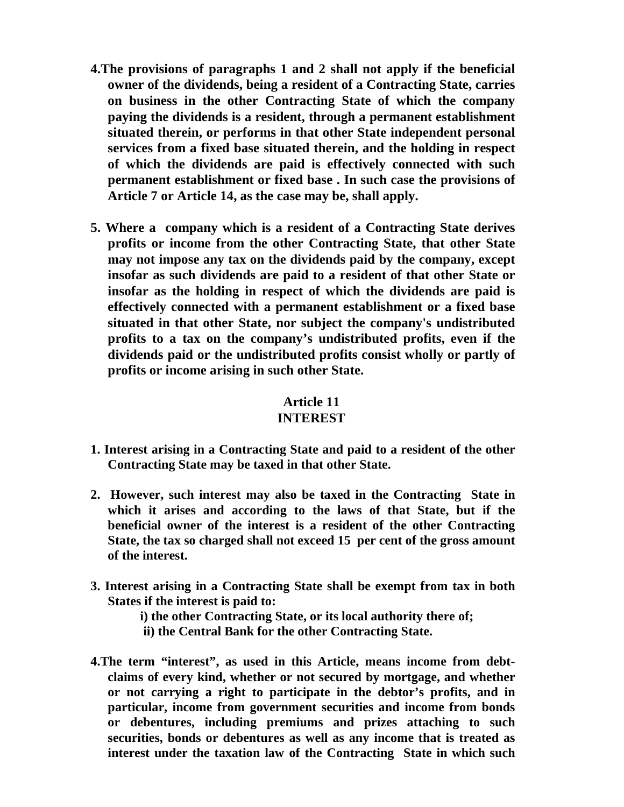- **4.The provisions of paragraphs 1 and 2 shall not apply if the beneficial owner of the dividends, being a resident of a Contracting State, carries on business in the other Contracting State of which the company paying the dividends is a resident, through a permanent establishment situated therein, or performs in that other State independent personal services from a fixed base situated therein, and the holding in respect of which the dividends are paid is effectively connected with such permanent establishment or fixed base . In such case the provisions of Article 7 or Article 14, as the case may be, shall apply.**
- **5. Where a company which is a resident of a Contracting State derives profits or income from the other Contracting State, that other State may not impose any tax on the dividends paid by the company, except insofar as such dividends are paid to a resident of that other State or insofar as the holding in respect of which the dividends are paid is effectively connected with a permanent establishment or a fixed base situated in that other State, nor subject the company's undistributed profits to a tax on the company's undistributed profits, even if the dividends paid or the undistributed profits consist wholly or partly of profits or income arising in such other State.**

#### **Article 11**

#### **INTEREST**

- **1. Interest arising in a Contracting State and paid to a resident of the other Contracting State may be taxed in that other State.**
- **2. However, such interest may also be taxed in the Contracting State in which it arises and according to the laws of that State, but if the beneficial owner of the interest is a resident of the other Contracting State, the tax so charged shall not exceed 15 per cent of the gross amount of the interest.**
- **3. Interest arising in a Contracting State shall be exempt from tax in both States if the interest is paid to:** 
	- **i) the other Contracting State, or its local authority there of;**
	- **ii) the Central Bank for the other Contracting State.**
- **4.The term "interest", as used in this Article, means income from debtclaims of every kind, whether or not secured by mortgage, and whether or not carrying a right to participate in the debtor's profits, and in particular, income from government securities and income from bonds or debentures, including premiums and prizes attaching to such securities, bonds or debentures as well as any income that is treated as interest under the taxation law of the Contracting State in which such**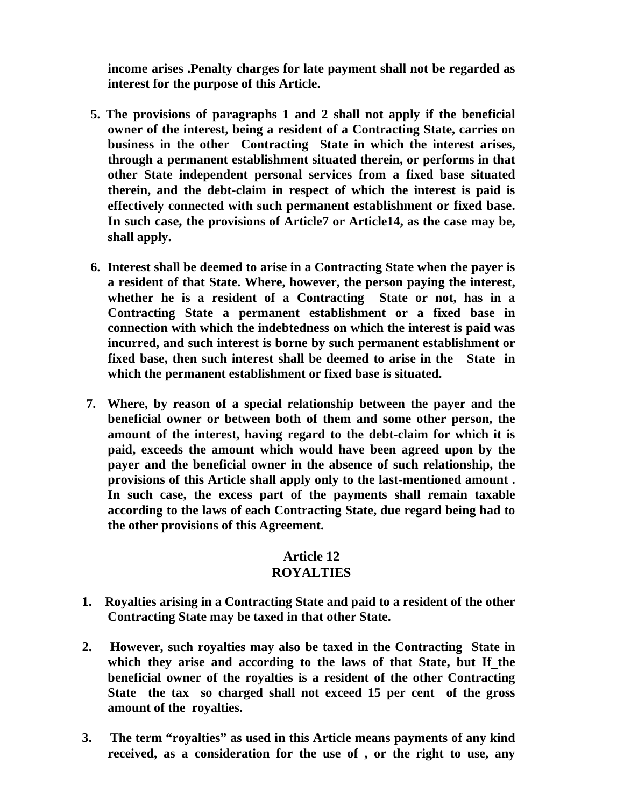**income arises .Penalty charges for late payment shall not be regarded as interest for the purpose of this Article.** 

- **5. The provisions of paragraphs 1 and 2 shall not apply if the beneficial owner of the interest, being a resident of a Contracting State, carries on business in the other Contracting State in which the interest arises, through a permanent establishment situated therein, or performs in that other State independent personal services from a fixed base situated therein, and the debt-claim in respect of which the interest is paid is effectively connected with such permanent establishment or fixed base. In such case, the provisions of Article7 or Article14, as the case may be, shall apply.**
- **6. Interest shall be deemed to arise in a Contracting State when the payer is a resident of that State. Where, however, the person paying the interest, whether he is a resident of a Contracting State or not, has in a Contracting State a permanent establishment or a fixed base in connection with which the indebtedness on which the interest is paid was incurred, and such interest is borne by such permanent establishment or fixed base, then such interest shall be deemed to arise in the State in which the permanent establishment or fixed base is situated.**
- **7. Where, by reason of a special relationship between the payer and the beneficial owner or between both of them and some other person, the amount of the interest, having regard to the debt-claim for which it is paid, exceeds the amount which would have been agreed upon by the payer and the beneficial owner in the absence of such relationship, the provisions of this Article shall apply only to the last-mentioned amount . In such case, the excess part of the payments shall remain taxable according to the laws of each Contracting State, due regard being had to the other provisions of this Agreement.**

#### **Article 12 ROYALTIES**

- **1. Royalties arising in a Contracting State and paid to a resident of the other Contracting State may be taxed in that other State.**
- **2. However, such royalties may also be taxed in the Contracting State in which they arise and according to the laws of that State, but If the beneficial owner of the royalties is a resident of the other Contracting State the tax so charged shall not exceed 15 per cent of the gross amount of the royalties.**
- **3. The term "royalties" as used in this Article means payments of any kind received, as a consideration for the use of , or the right to use, any**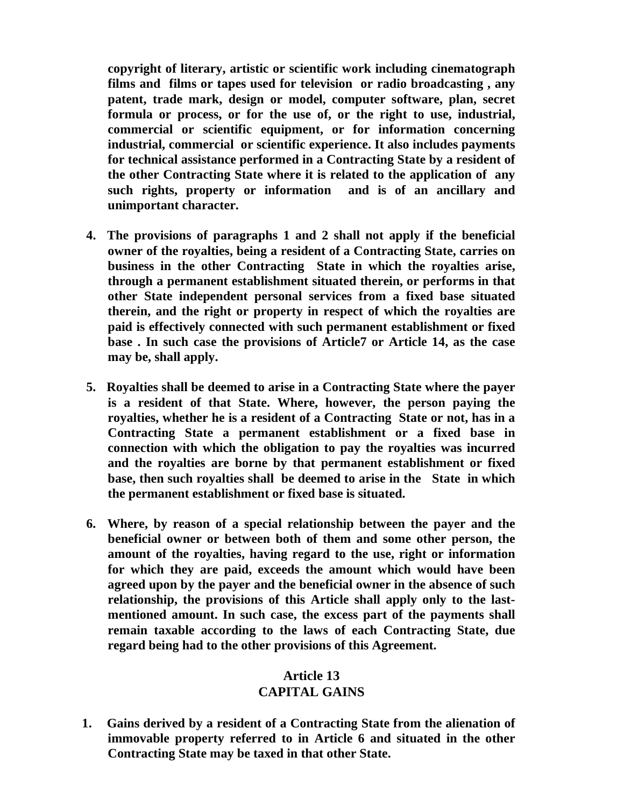**copyright of literary, artistic or scientific work including cinematograph films and films or tapes used for television or radio broadcasting , any patent, trade mark, design or model, computer software, plan, secret formula or process, or for the use of, or the right to use, industrial, commercial or scientific equipment, or for information concerning industrial, commercial or scientific experience. It also includes payments for technical assistance performed in a Contracting State by a resident of the other Contracting State where it is related to the application of any such rights, property or information and is of an ancillary and unimportant character.** 

- **4. The provisions of paragraphs 1 and 2 shall not apply if the beneficial owner of the royalties, being a resident of a Contracting State, carries on business in the other Contracting State in which the royalties arise, through a permanent establishment situated therein, or performs in that other State independent personal services from a fixed base situated therein, and the right or property in respect of which the royalties are paid is effectively connected with such permanent establishment or fixed base . In such case the provisions of Article7 or Article 14, as the case may be, shall apply.**
- **5. Royalties shall be deemed to arise in a Contracting State where the payer is a resident of that State. Where, however, the person paying the royalties, whether he is a resident of a Contracting State or not, has in a Contracting State a permanent establishment or a fixed base in connection with which the obligation to pay the royalties was incurred and the royalties are borne by that permanent establishment or fixed base, then such royalties shall be deemed to arise in the State in which the permanent establishment or fixed base is situated.**
- **6. Where, by reason of a special relationship between the payer and the beneficial owner or between both of them and some other person, the amount of the royalties, having regard to the use, right or information for which they are paid, exceeds the amount which would have been agreed upon by the payer and the beneficial owner in the absence of such relationship, the provisions of this Article shall apply only to the lastmentioned amount. In such case, the excess part of the payments shall remain taxable according to the laws of each Contracting State, due regard being had to the other provisions of this Agreement.**

# **Article 13**

# **CAPITAL GAINS**

**1. Gains derived by a resident of a Contracting State from the alienation of immovable property referred to in Article 6 and situated in the other Contracting State may be taxed in that other State.**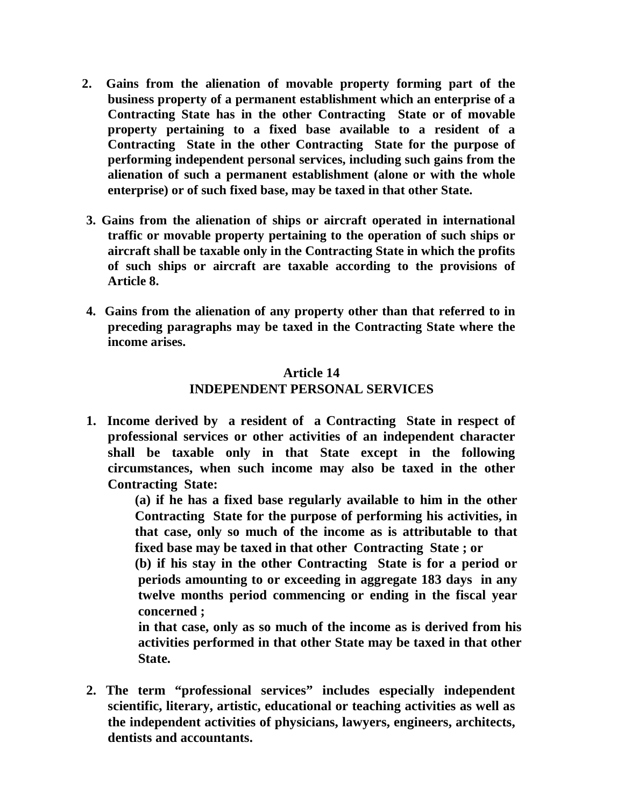- **2. Gains from the alienation of movable property forming part of the business property of a permanent establishment which an enterprise of a Contracting State has in the other Contracting State or of movable property pertaining to a fixed base available to a resident of a Contracting State in the other Contracting State for the purpose of performing independent personal services, including such gains from the alienation of such a permanent establishment (alone or with the whole enterprise) or of such fixed base, may be taxed in that other State.**
- **3. Gains from the alienation of ships or aircraft operated in international traffic or movable property pertaining to the operation of such ships or aircraft shall be taxable only in the Contracting State in which the profits of such ships or aircraft are taxable according to the provisions of Article 8.**
- **4. Gains from the alienation of any property other than that referred to in preceding paragraphs may be taxed in the Contracting State where the income arises.**

#### **Article 14 INDEPENDENT PERSONAL SERVICES**

**1. Income derived by a resident of a Contracting State in respect of professional services or other activities of an independent character shall be taxable only in that State except in the following circumstances, when such income may also be taxed in the other Contracting State:** 

> **(a) if he has a fixed base regularly available to him in the other Contracting State for the purpose of performing his activities, in that case, only so much of the income as is attributable to that fixed base may be taxed in that other Contracting State ; or**

> **(b) if his stay in the other Contracting State is for a period or periods amounting to or exceeding in aggregate 183 days in any twelve months period commencing or ending in the fiscal year concerned ;**

> **in that case, only as so much of the income as is derived from his activities performed in that other State may be taxed in that other State.**

**2. The term "professional services" includes especially independent scientific, literary, artistic, educational or teaching activities as well as the independent activities of physicians, lawyers, engineers, architects, dentists and accountants.**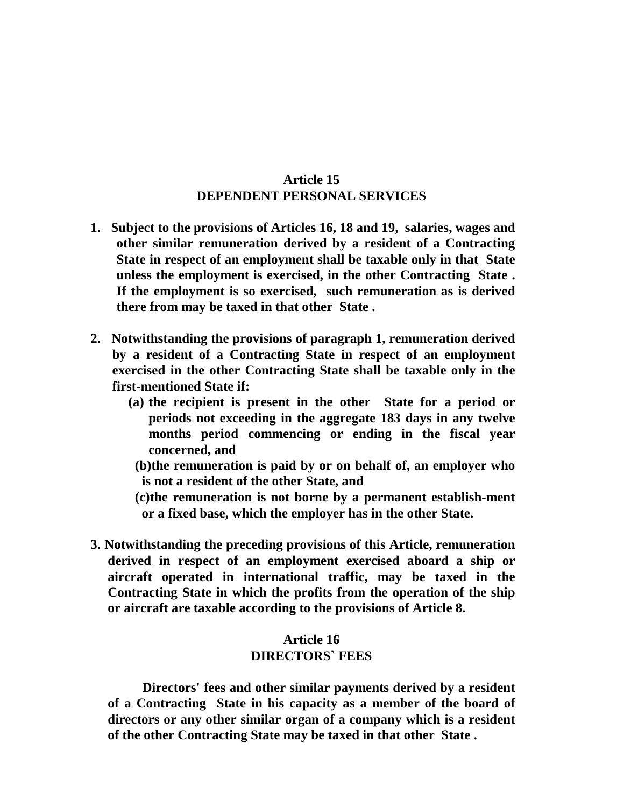#### **Article 15 DEPENDENT PERSONAL SERVICES**

- **1. Subject to the provisions of Articles 16, 18 and 19, salaries, wages and other similar remuneration derived by a resident of a Contracting State in respect of an employment shall be taxable only in that State unless the employment is exercised, in the other Contracting State . If the employment is so exercised, such remuneration as is derived there from may be taxed in that other State .**
- **2. Notwithstanding the provisions of paragraph 1, remuneration derived by a resident of a Contracting State in respect of an employment exercised in the other Contracting State shall be taxable only in the first-mentioned State if:** 
	- **(a) the recipient is present in the other State for a period or periods not exceeding in the aggregate 183 days in any twelve months period commencing or ending in the fiscal year concerned, and** 
		- **(b)the remuneration is paid by or on behalf of, an employer who is not a resident of the other State, and**
		- **(c)the remuneration is not borne by a permanent establish-ment or a fixed base, which the employer has in the other State.**
- **3. Notwithstanding the preceding provisions of this Article, remuneration derived in respect of an employment exercised aboard a ship or aircraft operated in international traffic, may be taxed in the Contracting State in which the profits from the operation of the ship or aircraft are taxable according to the provisions of Article 8.**

#### **Article 16 DIRECTORS` FEES**

 **Directors' fees and other similar payments derived by a resident of a Contracting State in his capacity as a member of the board of directors or any other similar organ of a company which is a resident of the other Contracting State may be taxed in that other State .**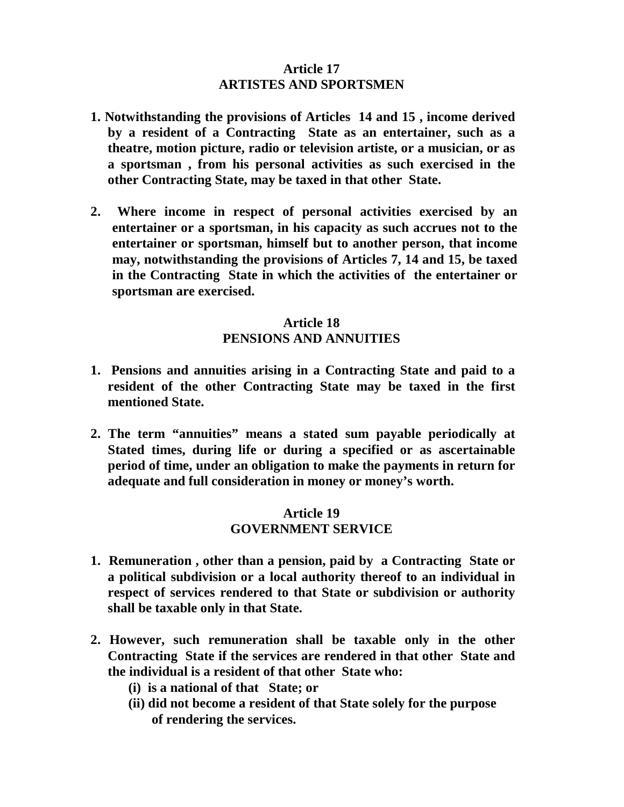# **Article 17 ARTISTES AND SPORTSMEN**

- **1. Notwithstanding the provisions of Articles 14 and 15 , income derived by a resident of a Contracting State as an entertainer, such as a theatre, motion picture, radio or television artiste, or a musician, or as a sportsman , from his personal activities as such exercised in the other Contracting State, may be taxed in that other State.**
- **2. Where income in respect of personal activities exercised by an entertainer or a sportsman, in his capacity as such accrues not to the entertainer or sportsman, himself but to another person, that income may, notwithstanding the provisions of Articles 7, 14 and 15, be taxed in the Contracting State in which the activities of the entertainer or sportsman are exercised.**

# **Article 18 PENSIONS AND ANNUITIES**

- **1. Pensions and annuities arising in a Contracting State and paid to a resident of the other Contracting State may be taxed in the first mentioned State.**
- **2. The term "annuities" means a stated sum payable periodically at Stated times, during life or during a specified or as ascertainable period of time, under an obligation to make the payments in return for adequate and full consideration in money or money's worth.**

# **Article 19 GOVERNMENT SERVICE**

- **1. Remuneration , other than a pension, paid by a Contracting State or a political subdivision or a local authority thereof to an individual in respect of services rendered to that State or subdivision or authority shall be taxable only in that State.**
- **2. However, such remuneration shall be taxable only in the other Contracting State if the services are rendered in that other State and the individual is a resident of that other State who:** 
	- **(i) is a national of that State; or**
	- **(ii) did not become a resident of that State solely for the purpose of rendering the services.**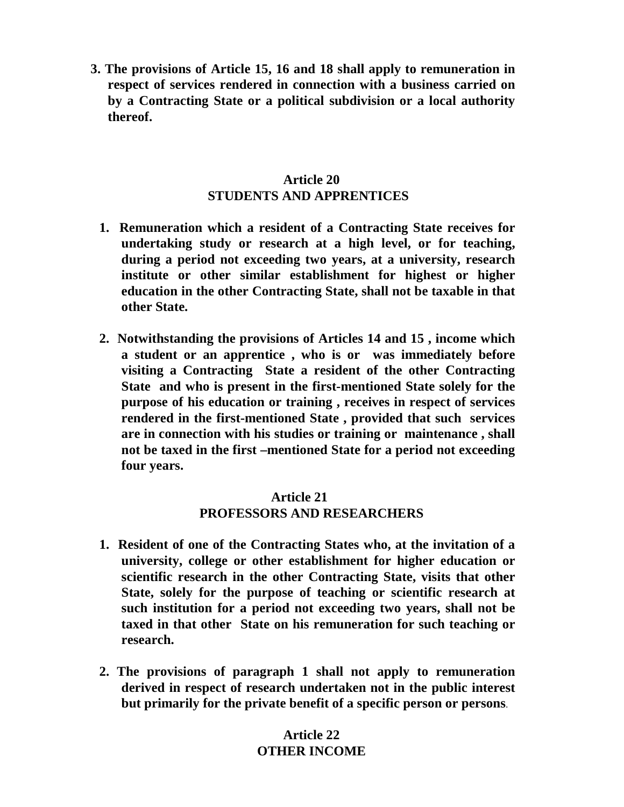**3. The provisions of Article 15, 16 and 18 shall apply to remuneration in respect of services rendered in connection with a business carried on by a Contracting State or a political subdivision or a local authority thereof.** 

# **Article 20 STUDENTS AND APPRENTICES**

- **1. Remuneration which a resident of a Contracting State receives for undertaking study or research at a high level, or for teaching, during a period not exceeding two years, at a university, research institute or other similar establishment for highest or higher education in the other Contracting State, shall not be taxable in that other State.**
- **2. Notwithstanding the provisions of Articles 14 and 15 , income which a student or an apprentice , who is or was immediately before visiting a Contracting State a resident of the other Contracting State and who is present in the first-mentioned State solely for the purpose of his education or training , receives in respect of services rendered in the first-mentioned State , provided that such services are in connection with his studies or training or maintenance , shall not be taxed in the first –mentioned State for a period not exceeding four years.**

# **Article 21 PROFESSORS AND RESEARCHERS**

- **1. Resident of one of the Contracting States who, at the invitation of a university, college or other establishment for higher education or scientific research in the other Contracting State, visits that other State, solely for the purpose of teaching or scientific research at such institution for a period not exceeding two years, shall not be taxed in that other State on his remuneration for such teaching or research.**
- **2. The provisions of paragraph 1 shall not apply to remuneration derived in respect of research undertaken not in the public interest but primarily for the private benefit of a specific person or persons**.

# **Article 22 OTHER INCOME**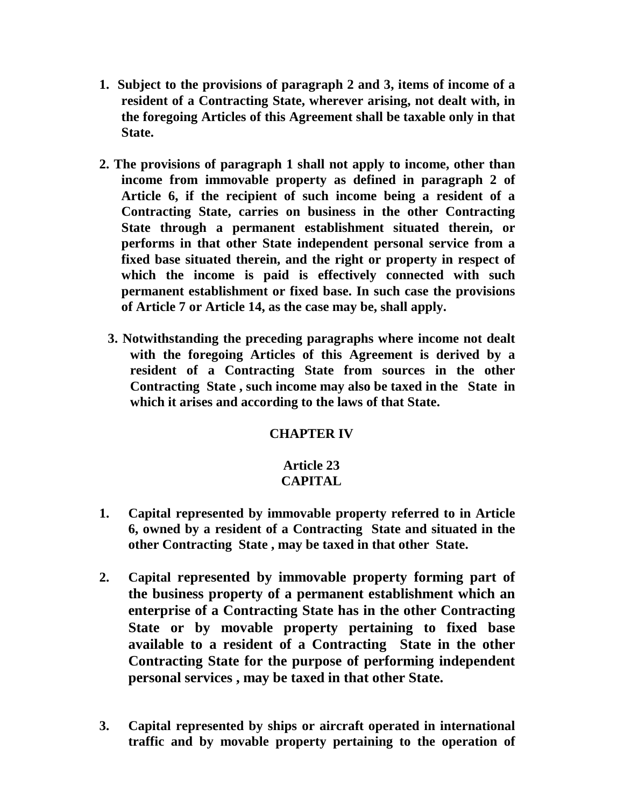- **1. Subject to the provisions of paragraph 2 and 3, items of income of a resident of a Contracting State, wherever arising, not dealt with, in the foregoing Articles of this Agreement shall be taxable only in that State.**
- **2. The provisions of paragraph 1 shall not apply to income, other than income from immovable property as defined in paragraph 2 of Article 6, if the recipient of such income being a resident of a Contracting State, carries on business in the other Contracting State through a permanent establishment situated therein, or performs in that other State independent personal service from a fixed base situated therein, and the right or property in respect of which the income is paid is effectively connected with such permanent establishment or fixed base. In such case the provisions of Article 7 or Article 14, as the case may be, shall apply.** 
	- **3. Notwithstanding the preceding paragraphs where income not dealt with the foregoing Articles of this Agreement is derived by a resident of a Contracting State from sources in the other Contracting State , such income may also be taxed in the State in which it arises and according to the laws of that State.**

## **CHAPTER IV**

## **Article 23 CAPITAL**

- **1. Capital represented by immovable property referred to in Article 6, owned by a resident of a Contracting State and situated in the other Contracting State , may be taxed in that other State.**
- **2. Capital represented by immovable property forming part of the business property of a permanent establishment which an enterprise of a Contracting State has in the other Contracting State or by movable property pertaining to fixed base available to a resident of a Contracting State in the other Contracting State for the purpose of performing independent personal services , may be taxed in that other State.**
- **3. Capital represented by ships or aircraft operated in international traffic and by movable property pertaining to the operation of**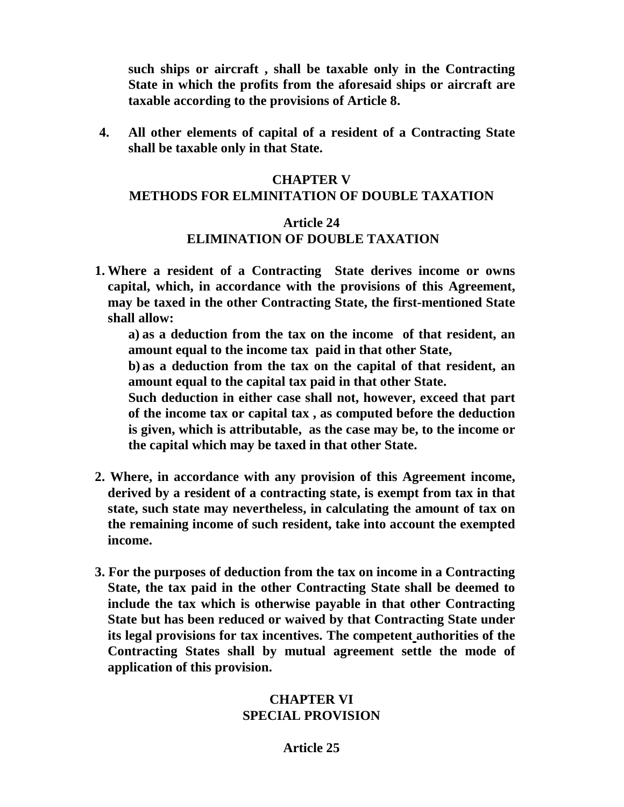**such ships or aircraft , shall be taxable only in the Contracting State in which the profits from the aforesaid ships or aircraft are taxable according to the provisions of Article 8.** 

**4. All other elements of capital of a resident of a Contracting State shall be taxable only in that State.** 

#### **CHAPTER V**

#### **METHODS FOR ELMINITATION OF DOUBLE TAXATION**

# **Article 24 ELIMINATION OF DOUBLE TAXATION**

**1. Where a resident of a Contracting State derives income or owns capital, which, in accordance with the provisions of this Agreement, may be taxed in the other Contracting State, the first-mentioned State shall allow:** 

**a) as a deduction from the tax on the income of that resident, an amount equal to the income tax paid in that other State,** 

**b) as a deduction from the tax on the capital of that resident, an amount equal to the capital tax paid in that other State.** 

**Such deduction in either case shall not, however, exceed that part of the income tax or capital tax , as computed before the deduction is given, which is attributable, as the case may be, to the income or the capital which may be taxed in that other State.** 

- **2. Where, in accordance with any provision of this Agreement income, derived by a resident of a contracting state, is exempt from tax in that state, such state may nevertheless, in calculating the amount of tax on the remaining income of such resident, take into account the exempted income.**
- **3. For the purposes of deduction from the tax on income in a Contracting State, the tax paid in the other Contracting State shall be deemed to include the tax which is otherwise payable in that other Contracting State but has been reduced or waived by that Contracting State under its legal provisions for tax incentives. The competent authorities of the Contracting States shall by mutual agreement settle the mode of application of this provision.**

# **CHAPTER VI SPECIAL PROVISION**

#### **Article 25**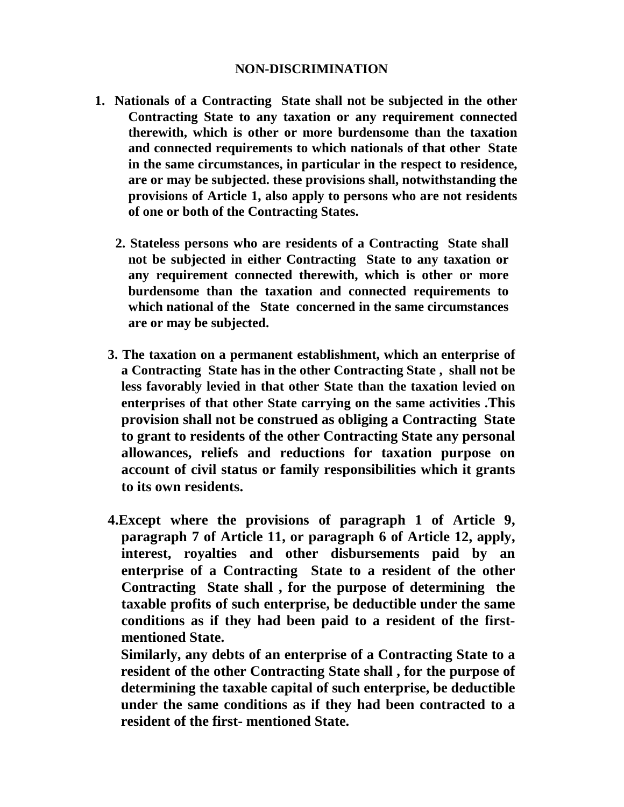#### **NON-DISCRIMINATION**

- **1. Nationals of a Contracting State shall not be subjected in the other Contracting State to any taxation or any requirement connected therewith, which is other or more burdensome than the taxation and connected requirements to which nationals of that other State in the same circumstances, in particular in the respect to residence, are or may be subjected. these provisions shall, notwithstanding the provisions of Article 1, also apply to persons who are not residents of one or both of the Contracting States.** 
	- **2. Stateless persons who are residents of a Contracting State shall not be subjected in either Contracting State to any taxation or any requirement connected therewith, which is other or more burdensome than the taxation and connected requirements to which national of the State concerned in the same circumstances are or may be subjected.**
	- **3. The taxation on a permanent establishment, which an enterprise of a Contracting State has in the other Contracting State , shall not be less favorably levied in that other State than the taxation levied on enterprises of that other State carrying on the same activities .This provision shall not be construed as obliging a Contracting State to grant to residents of the other Contracting State any personal allowances, reliefs and reductions for taxation purpose on account of civil status or family responsibilities which it grants to its own residents.**
	- **4.Except where the provisions of paragraph 1 of Article 9, paragraph 7 of Article 11, or paragraph 6 of Article 12, apply, interest, royalties and other disbursements paid by an enterprise of a Contracting State to a resident of the other Contracting State shall , for the purpose of determining the taxable profits of such enterprise, be deductible under the same conditions as if they had been paid to a resident of the firstmentioned State.**

**Similarly, any debts of an enterprise of a Contracting State to a resident of the other Contracting State shall , for the purpose of determining the taxable capital of such enterprise, be deductible under the same conditions as if they had been contracted to a resident of the first- mentioned State.**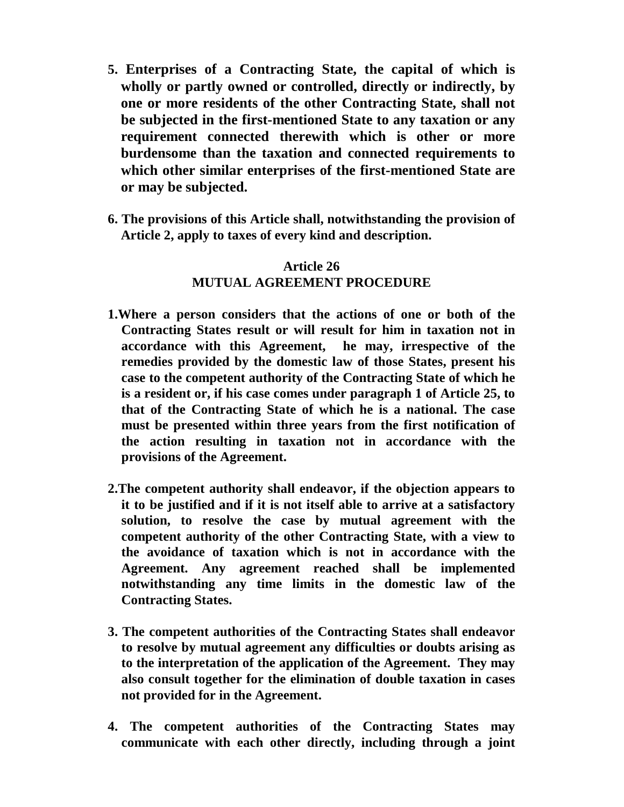- **5. Enterprises of a Contracting State, the capital of which is wholly or partly owned or controlled, directly or indirectly, by one or more residents of the other Contracting State, shall not be subjected in the first-mentioned State to any taxation or any requirement connected therewith which is other or more burdensome than the taxation and connected requirements to which other similar enterprises of the first-mentioned State are or may be subjected.**
- **6. The provisions of this Article shall, notwithstanding the provision of Article 2, apply to taxes of every kind and description.**

# **Article 26 MUTUAL AGREEMENT PROCEDURE**

- **1.Where a person considers that the actions of one or both of the Contracting States result or will result for him in taxation not in accordance with this Agreement, he may, irrespective of the remedies provided by the domestic law of those States, present his case to the competent authority of the Contracting State of which he is a resident or, if his case comes under paragraph 1 of Article 25, to that of the Contracting State of which he is a national. The case must be presented within three years from the first notification of the action resulting in taxation not in accordance with the provisions of the Agreement.**
- **2.The competent authority shall endeavor, if the objection appears to it to be justified and if it is not itself able to arrive at a satisfactory solution, to resolve the case by mutual agreement with the competent authority of the other Contracting State, with a view to the avoidance of taxation which is not in accordance with the Agreement. Any agreement reached shall be implemented notwithstanding any time limits in the domestic law of the Contracting States.**
- **3. The competent authorities of the Contracting States shall endeavor to resolve by mutual agreement any difficulties or doubts arising as to the interpretation of the application of the Agreement. They may also consult together for the elimination of double taxation in cases not provided for in the Agreement.**
- **4. The competent authorities of the Contracting States may communicate with each other directly, including through a joint**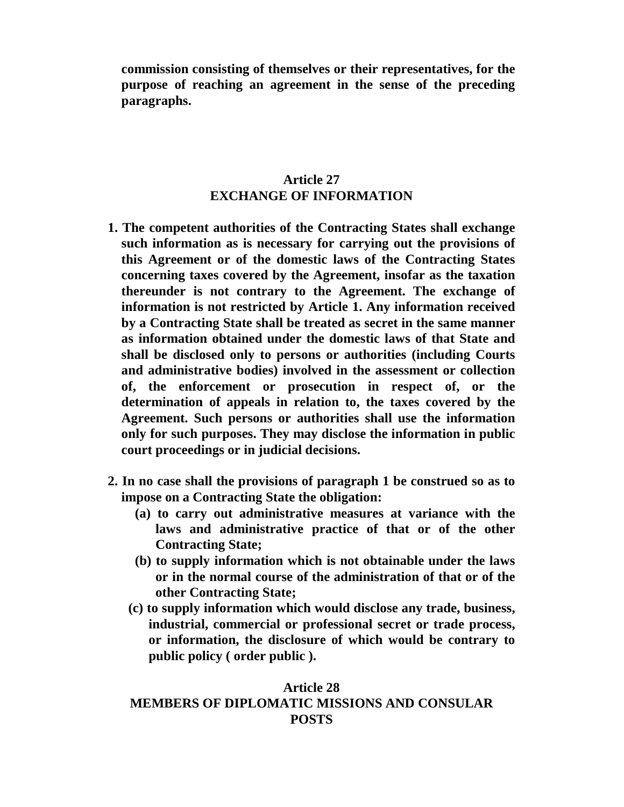**commission consisting of themselves or their representatives, for the purpose of reaching an agreement in the sense of the preceding paragraphs.** 

## **Article 27 EXCHANGE OF INFORMATION**

- **1. The competent authorities of the Contracting States shall exchange such information as is necessary for carrying out the provisions of this Agreement or of the domestic laws of the Contracting States concerning taxes covered by the Agreement, insofar as the taxation thereunder is not contrary to the Agreement. The exchange of information is not restricted by Article 1. Any information received by a Contracting State shall be treated as secret in the same manner as information obtained under the domestic laws of that State and shall be disclosed only to persons or authorities (including Courts and administrative bodies) involved in the assessment or collection of, the enforcement or prosecution in respect of, or the determination of appeals in relation to, the taxes covered by the Agreement. Such persons or authorities shall use the information only for such purposes. They may disclose the information in public court proceedings or in judicial decisions.**
- **2. In no case shall the provisions of paragraph 1 be construed so as to impose on a Contracting State the obligation:** 
	- **(a) to carry out administrative measures at variance with the laws and administrative practice of that or of the other Contracting State;**
	- **(b) to supply information which is not obtainable under the laws or in the normal course of the administration of that or of the other Contracting State;**
	- **(c) to supply information which would disclose any trade, business, industrial, commercial or professional secret or trade process, or information, the disclosure of which would be contrary to public policy ( order public ).**

## **Article 28 MEMBERS OF DIPLOMATIC MISSIONS AND CONSULAR POSTS**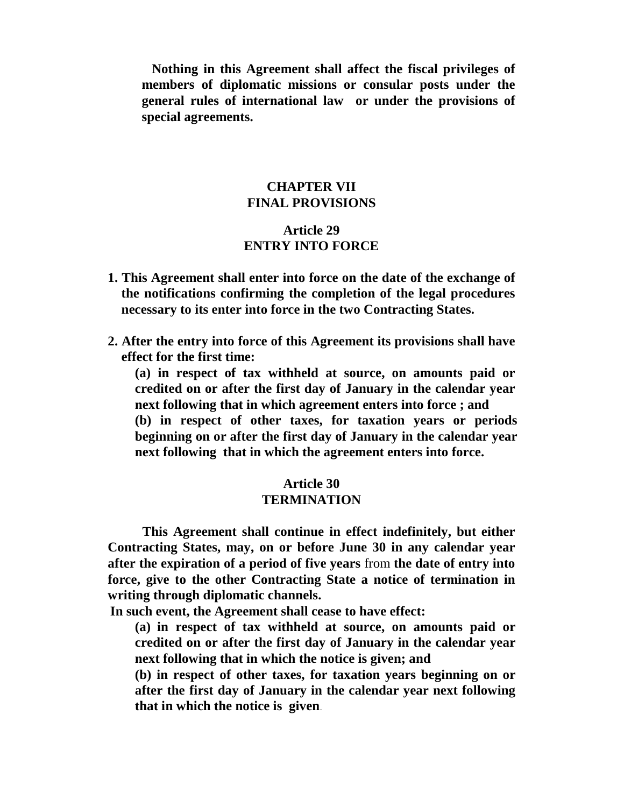**Nothing in this Agreement shall affect the fiscal privileges of members of diplomatic missions or consular posts under the general rules of international law or under the provisions of special agreements.** 

## **CHAPTER VII FINAL PROVISIONS**

## **Article 29 ENTRY INTO FORCE**

- **1. This Agreement shall enter into force on the date of the exchange of the notifications confirming the completion of the legal procedures necessary to its enter into force in the two Contracting States.**
- **2. After the entry into force of this Agreement its provisions shall have effect for the first time:**

**(a) in respect of tax withheld at source, on amounts paid or credited on or after the first day of January in the calendar year next following that in which agreement enters into force ; and (b) in respect of other taxes, for taxation years or periods beginning on or after the first day of January in the calendar year next following that in which the agreement enters into force.** 

#### **Article 30 TERMINATION**

**This Agreement shall continue in effect indefinitely, but either Contracting States, may, on or before June 30 in any calendar year after the expiration of a period of five years** from **the date of entry into force, give to the other Contracting State a notice of termination in writing through diplomatic channels.** 

**In such event, the Agreement shall cease to have effect:**

**(a) in respect of tax withheld at source, on amounts paid or credited on or after the first day of January in the calendar year next following that in which the notice is given; and** 

**(b) in respect of other taxes, for taxation years beginning on or after the first day of January in the calendar year next following that in which the notice is given**.